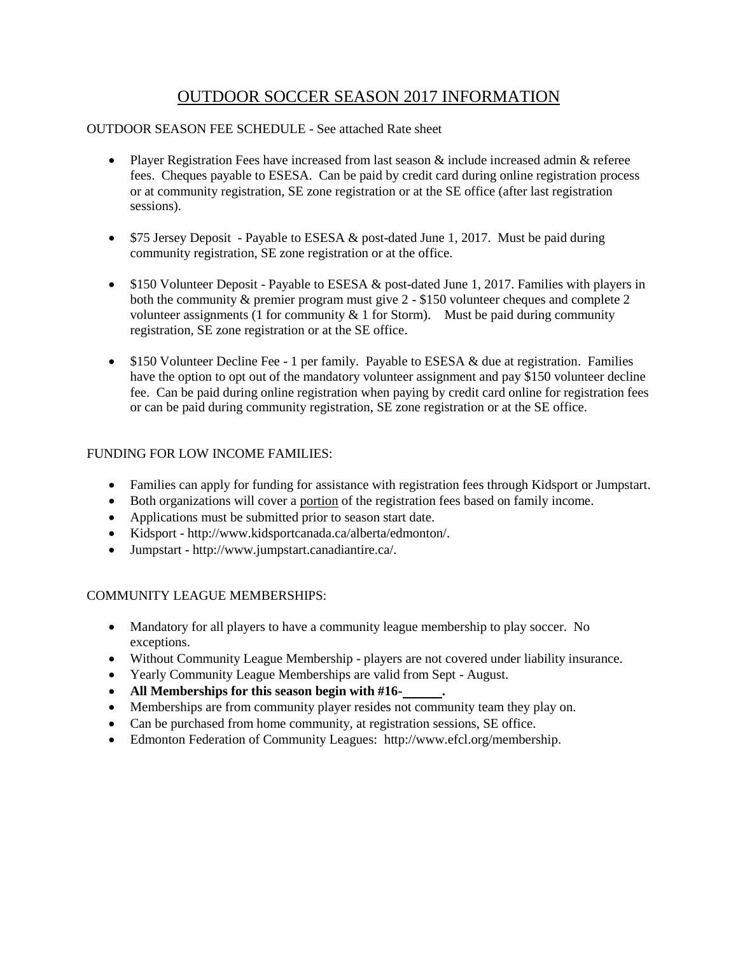# OUTDOOR SOCCER SEASON 2017 INFORMATION

## OUTDOOR SEASON FEE SCHEDULE - See attached Rate sheet

- Player Registration Fees have increased from last season  $\&$  include increased admin  $\&$  referee fees. Cheques payable to ESESA. Can be paid by credit card during online registration process or at community registration, SE zone registration or at the SE office (after last registration sessions).
- $\bullet$  \$75 Jersey Deposit Payable to ESESA & post-dated June 1, 2017. Must be paid during community registration, SE zone registration or at the office.
- \$150 Volunteer Deposit Payable to ESESA & post-dated June 1, 2017. Families with players in both the community & premier program must give 2 - \$150 volunteer cheques and complete 2 volunteer assignments (1 for community  $\&$  1 for Storm). Must be paid during community registration, SE zone registration or at the SE office.
- \$150 Volunteer Decline Fee 1 per family. Payable to ESESA & due at registration. Families have the option to opt out of the mandatory volunteer assignment and pay \$150 volunteer decline fee. Can be paid during online registration when paying by credit card online for registration fees or can be paid during community registration, SE zone registration or at the SE office.

### FUNDING FOR LOW INCOME FAMILIES:

- Families can apply for funding for assistance with registration fees through Kidsport or Jumpstart.
- Both organizations will cover a portion of the registration fees based on family income.
- Applications must be submitted prior to season start date.
- Kidsport http://www.kidsportcanada.ca/alberta/edmonton/.
- Jumpstart http://www.jumpstart.canadiantire.ca/.

#### COMMUNITY LEAGUE MEMBERSHIPS:

- Mandatory for all players to have a community league membership to play soccer. No exceptions.
- Without Community League Membership players are not covered under liability insurance.
- Yearly Community League Memberships are valid from Sept August.
- **All Memberships for this season begin with #16- .**
- Memberships are from community player resides not community team they play on.
- Can be purchased from home community, at registration sessions, SE office.
- Edmonton Federation of Community Leagues: http://www.efcl.org/membership.